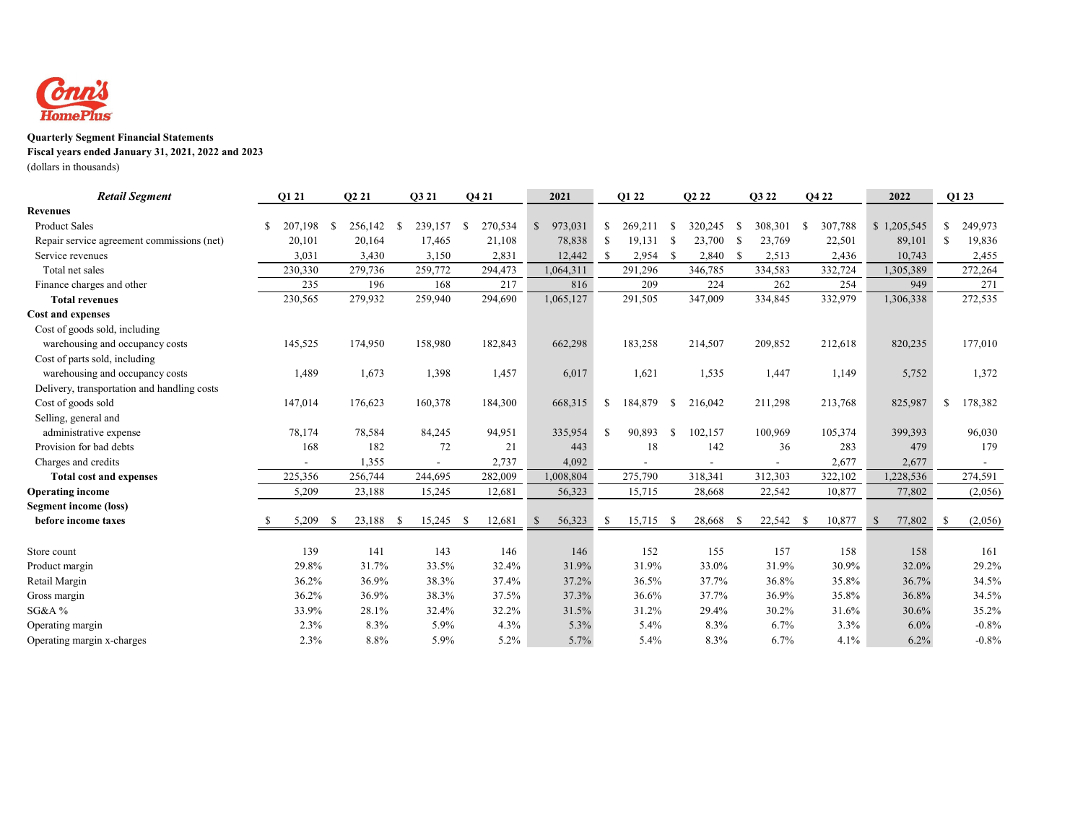

## **Quarterly Segment Financial Statements**

**Fiscal years ended January 31, 2021, 2022 and 2023**

(dollars in thousands)

| <b>Retail Segment</b>                       |    | O1 21   |      | O <sub>2</sub> 21 |    | Q3 21   |      | Q4 21   |              | 2021      |               | O1 22   |      | O <sub>2</sub> 2 <sub>2</sub> |      | Q3 22     |      | Q4 22   |               | 2022        |               | Q1 23   |
|---------------------------------------------|----|---------|------|-------------------|----|---------|------|---------|--------------|-----------|---------------|---------|------|-------------------------------|------|-----------|------|---------|---------------|-------------|---------------|---------|
| <b>Revenues</b>                             |    |         |      |                   |    |         |      |         |              |           |               |         |      |                               |      |           |      |         |               |             |               |         |
| <b>Product Sales</b>                        | S  | 207,198 | - \$ | 256,142           | -S | 239,157 | - \$ | 270,534 | \$           | 973,031   | \$            | 269,211 | -\$  | 320,245                       | -\$  | 308,301   | - \$ | 307,788 |               | \$1,205,545 | \$            | 249,973 |
| Repair service agreement commissions (net)  |    | 20,101  |      | 20,164            |    | 17,465  |      | 21,108  |              | 78,838    | -S            | 19,131  | - \$ | 23,700                        | - \$ | 23,769    |      | 22,501  |               | 89,101      | -S            | 19,836  |
| Service revenues                            |    | 3,031   |      | 3,430             |    | 3,150   |      | 2,831   |              | 12,442    | $\mathcal{S}$ | 2,954   | - \$ | 2,840                         | - \$ | 2,513     |      | 2,436   |               | 10,743      |               | 2,455   |
| Total net sales                             |    | 230,330 |      | 279,736           |    | 259,772 |      | 294,473 |              | 1,064,311 |               | 291,296 |      | 346,785                       |      | 334,583   |      | 332,724 |               | 1,305,389   |               | 272,264 |
| Finance charges and other                   |    | 235     |      | 196               |    | 168     |      | 217     |              | 816       |               | 209     |      | 224                           |      | 262       |      | 254     |               | 949         |               | 271     |
| <b>Total revenues</b>                       |    | 230,565 |      | 279,932           |    | 259,940 |      | 294,690 |              | 1,065,127 |               | 291,505 |      | 347,009                       |      | 334,845   |      | 332,979 |               | 1,306,338   |               | 272,535 |
| <b>Cost and expenses</b>                    |    |         |      |                   |    |         |      |         |              |           |               |         |      |                               |      |           |      |         |               |             |               |         |
| Cost of goods sold, including               |    |         |      |                   |    |         |      |         |              |           |               |         |      |                               |      |           |      |         |               |             |               |         |
| warehousing and occupancy costs             |    | 145,525 |      | 174,950           |    | 158,980 |      | 182,843 |              | 662,298   |               | 183,258 |      | 214,507                       |      | 209,852   |      | 212,618 |               | 820,235     |               | 177,010 |
| Cost of parts sold, including               |    |         |      |                   |    |         |      |         |              |           |               |         |      |                               |      |           |      |         |               |             |               |         |
| warehousing and occupancy costs             |    | 1,489   |      | 1,673             |    | 1,398   |      | 1,457   |              | 6,017     |               | 1,621   |      | 1,535                         |      | 1,447     |      | 1,149   |               | 5,752       |               | 1,372   |
| Delivery, transportation and handling costs |    |         |      |                   |    |         |      |         |              |           |               |         |      |                               |      |           |      |         |               |             |               |         |
| Cost of goods sold                          |    | 147,014 |      | 176,623           |    | 160,378 |      | 184,300 |              | 668,315   | \$            | 184,879 | -S   | 216,042                       |      | 211,298   |      | 213,768 |               | 825,987     | <sup>\$</sup> | 178,382 |
| Selling, general and                        |    |         |      |                   |    |         |      |         |              |           |               |         |      |                               |      |           |      |         |               |             |               |         |
| administrative expense                      |    | 78,174  |      | 78,584            |    | 84,245  |      | 94,951  |              | 335,954   | -S            | 90,893  | -S   | 102,157                       |      | 100,969   |      | 105,374 |               | 399,393     |               | 96,030  |
| Provision for bad debts                     |    | 168     |      | 182               |    | 72      |      | 21      |              | 443       |               | 18      |      | 142                           |      | 36        |      | 283     |               | 479         |               | 179     |
| Charges and credits                         |    |         |      | 1,355             |    |         |      | 2,737   |              | 4,092     |               |         |      |                               |      |           |      | 2,677   |               | 2,677       |               |         |
| <b>Total cost and expenses</b>              |    | 225,356 |      | 256,744           |    | 244,695 |      | 282,009 |              | 1,008,804 |               | 275,790 |      | 318,341                       |      | 312,303   |      | 322,102 |               | 1,228,536   |               | 274,591 |
| <b>Operating income</b>                     |    | 5,209   |      | 23,188            |    | 15,245  |      | 12,681  |              | 56,323    |               | 15,715  |      | 28,668                        |      | 22,542    |      | 10,877  |               | 77,802      |               | (2,056) |
| <b>Segment income (loss)</b>                |    |         |      |                   |    |         |      |         |              |           |               |         |      |                               |      |           |      |         |               |             |               |         |
| before income taxes                         | -8 | 5,209   | -S   | 23,188            | -S | 15,245  | - \$ | 12,681  | $\mathbb{S}$ | 56,323    | -S            | 15,715  | - \$ | 28,668                        | -S   | 22,542 \$ |      | 10,877  | $\mathcal{S}$ | 77,802      | -S            | (2,056) |
| Store count                                 |    | 139     |      | 141               |    | 143     |      | 146     |              | 146       |               | 152     |      | 155                           |      | 157       |      | 158     |               | 158         |               | 161     |
| Product margin                              |    | 29.8%   |      | 31.7%             |    | 33.5%   |      | 32.4%   |              | 31.9%     |               | 31.9%   |      | 33.0%                         |      | 31.9%     |      | 30.9%   |               | 32.0%       |               | 29.2%   |
| Retail Margin                               |    | 36.2%   |      | 36.9%             |    | 38.3%   |      | 37.4%   |              | 37.2%     |               | 36.5%   |      | 37.7%                         |      | 36.8%     |      | 35.8%   |               | 36.7%       |               | 34.5%   |
| Gross margin                                |    | 36.2%   |      | 36.9%             |    | 38.3%   |      | 37.5%   |              | 37.3%     |               | 36.6%   |      | 37.7%                         |      | 36.9%     |      | 35.8%   |               | 36.8%       |               | 34.5%   |
| SG&A%                                       |    | 33.9%   |      | 28.1%             |    | 32.4%   |      | 32.2%   |              | 31.5%     |               | 31.2%   |      | 29.4%                         |      | 30.2%     |      | 31.6%   |               | 30.6%       |               | 35.2%   |
| Operating margin                            |    | 2.3%    |      | 8.3%              |    | 5.9%    |      | 4.3%    |              | 5.3%      |               | 5.4%    |      | 8.3%                          |      | 6.7%      |      | 3.3%    |               | 6.0%        |               | $-0.8%$ |
| Operating margin x-charges                  |    | 2.3%    |      | 8.8%              |    | 5.9%    |      | 5.2%    |              | 5.7%      |               | 5.4%    |      | 8.3%                          |      | 6.7%      |      | 4.1%    |               | 6.2%        |               | $-0.8%$ |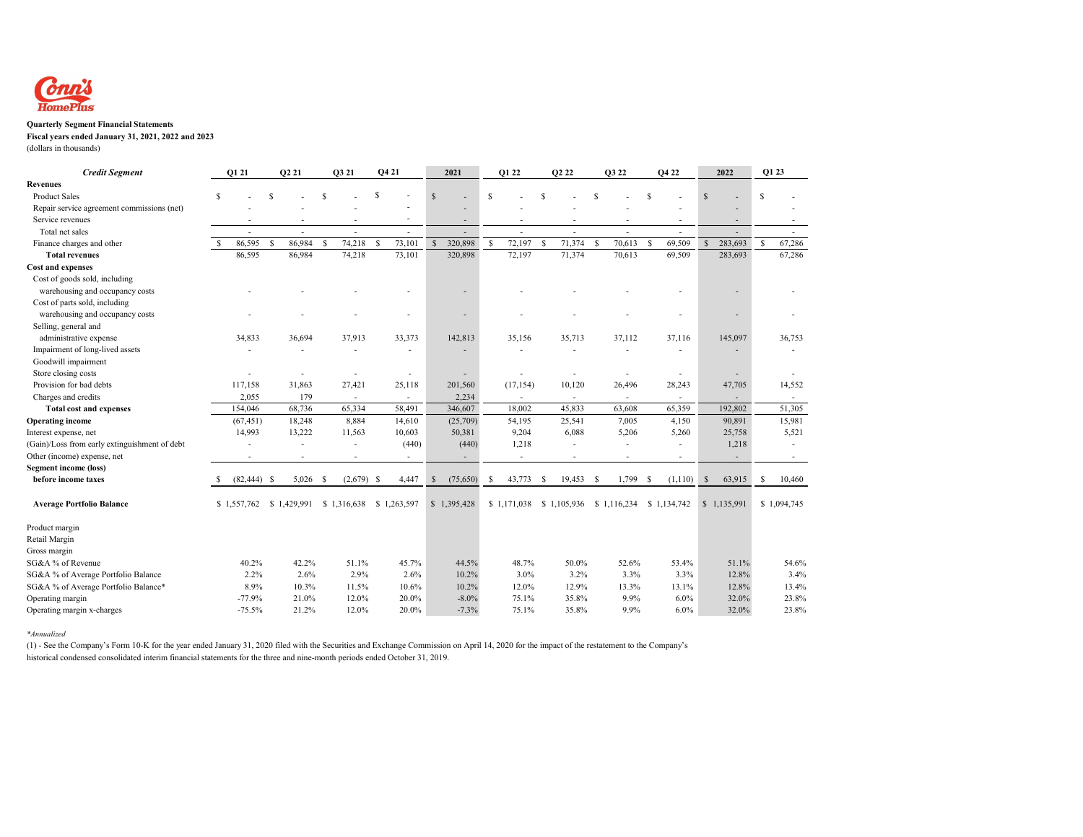

## **Quarterly Segment Financial Statements**

**Fiscal years ended January 31, 2021, 2022 and 2023**

(dollars in thousands)

| <b>Credit Segment</b>                         |   | Q1 21          |               | O <sub>2</sub> 21        | O3 21        |                          | Q4 21 |                          | 2021        |             | Q1 22        |                          | O <sub>2</sub> 2 <sub>2</sub> |                          | Q3 22        |                          |              | Q4 22                    |               | 2022        | Q1 23        |                          |  |
|-----------------------------------------------|---|----------------|---------------|--------------------------|--------------|--------------------------|-------|--------------------------|-------------|-------------|--------------|--------------------------|-------------------------------|--------------------------|--------------|--------------------------|--------------|--------------------------|---------------|-------------|--------------|--------------------------|--|
| <b>Revenues</b>                               |   |                |               |                          |              |                          |       |                          |             |             |              |                          |                               |                          |              |                          |              |                          |               |             |              |                          |  |
| <b>Product Sales</b>                          | S |                |               |                          |              |                          | \$    |                          | $\mathbf S$ |             | <sup>S</sup> |                          | S                             |                          |              |                          |              |                          | <sup>S</sup>  |             | S            |                          |  |
| Repair service agreement commissions (net)    |   |                |               |                          |              |                          |       |                          |             |             |              |                          |                               |                          |              |                          |              |                          |               |             |              |                          |  |
| Service revenues                              |   |                |               |                          |              |                          |       |                          |             |             |              |                          |                               |                          |              |                          |              |                          |               |             |              |                          |  |
| Total net sales                               |   |                |               |                          |              |                          |       | $\overline{a}$           |             |             |              | $\overline{a}$           |                               |                          |              |                          |              |                          |               |             |              |                          |  |
| Finance charges and other                     |   | 86,595         | <sup>\$</sup> | 86,984                   | <sup>S</sup> | 74,218                   | S     | 73,101                   |             | 320,898     | -S           | 72,197                   | S                             | 71,374                   | <sup>S</sup> | 70,613                   | <sup>S</sup> | 69,509                   | $\mathcal{S}$ | 283,693     | <sup>S</sup> | 67,286                   |  |
| <b>Total revenues</b>                         |   | 86,595         |               | 86,984                   |              | 74,218                   |       | 73,101                   |             | 320,898     |              | 72,197                   |                               | 71,374                   |              | 70.613                   |              | 69,509                   |               | 283,693     |              | 67,286                   |  |
| <b>Cost and expenses</b>                      |   |                |               |                          |              |                          |       |                          |             |             |              |                          |                               |                          |              |                          |              |                          |               |             |              |                          |  |
| Cost of goods sold, including                 |   |                |               |                          |              |                          |       |                          |             |             |              |                          |                               |                          |              |                          |              |                          |               |             |              |                          |  |
| warehousing and occupancy costs               |   |                |               |                          |              |                          |       |                          |             |             |              |                          |                               |                          |              |                          |              |                          |               |             |              |                          |  |
| Cost of parts sold, including                 |   |                |               |                          |              |                          |       |                          |             |             |              |                          |                               |                          |              |                          |              |                          |               |             |              |                          |  |
| warehousing and occupancy costs               |   |                |               |                          |              |                          |       |                          |             |             |              |                          |                               |                          |              |                          |              |                          |               |             |              |                          |  |
| Selling, general and                          |   |                |               |                          |              |                          |       |                          |             |             |              |                          |                               |                          |              |                          |              |                          |               |             |              |                          |  |
| administrative expense                        |   | 34,833         |               | 36,694                   |              | 37,913                   |       | 33,373                   |             | 142,813     |              | 35,156                   |                               | 35,713                   |              | 37,112                   |              | 37,116                   |               | 145,097     |              | 36,753                   |  |
| Impairment of long-lived assets               |   |                |               |                          |              |                          |       | $\overline{\phantom{a}}$ |             |             |              |                          |                               |                          |              |                          |              |                          |               |             |              |                          |  |
| Goodwill impairment                           |   |                |               |                          |              |                          |       |                          |             |             |              |                          |                               |                          |              |                          |              |                          |               |             |              |                          |  |
| Store closing costs                           |   |                |               |                          |              |                          |       | $\overline{a}$           |             |             |              | $\overline{\phantom{a}}$ |                               | ٠                        |              |                          |              | $\overline{\phantom{a}}$ |               |             |              |                          |  |
| Provision for bad debts                       |   | 117,158        |               | 31,863                   |              | 27,421                   |       | 25,118                   |             | 201,560     |              | (17, 154)                |                               | 10,120                   |              | 26,496                   |              | 28,243                   |               | 47,705      |              | 14,552                   |  |
| Charges and credits                           |   | 2,055          |               | 179                      |              | $\overline{\phantom{a}}$ |       | $\overline{\phantom{a}}$ |             | 2,234       |              | $\overline{\phantom{a}}$ |                               | $\overline{\phantom{a}}$ |              | $\overline{\phantom{a}}$ |              | $\sim$                   |               |             |              | $\overline{\phantom{a}}$ |  |
| <b>Total cost and expenses</b>                |   | 154,046        |               | 68,736                   |              | 65,334                   |       | 58,491                   |             | 346,607     |              | 18,002                   |                               | 45,833                   |              | 63,608                   |              | 65,359                   |               | 192,802     |              | 51,305                   |  |
| <b>Operating income</b>                       |   | (67, 451)      |               | 18,248                   |              | 8,884                    |       | 14,610                   |             | (25,709)    |              | 54,195                   |                               | 25,541                   |              | 7,005                    |              | 4,150                    |               | 90,891      |              | 15,981                   |  |
| Interest expense, net                         |   | 14,993         |               | 13,222                   |              | 11,563                   |       | 10,603                   |             | 50,381      |              | 9,204                    |                               | 6,088                    |              | 5,206                    |              | 5,260                    |               | 25,758      |              | 5.521                    |  |
| (Gain)/Loss from early extinguishment of debt |   | $\overline{a}$ |               |                          |              |                          |       | (440)                    |             | (440)       |              | 1,218                    |                               |                          |              | $\overline{\phantom{a}}$ |              |                          |               | 1,218       |              |                          |  |
| Other (income) expense, net                   |   | $\blacksquare$ |               | $\overline{\phantom{a}}$ |              | $\overline{\phantom{a}}$ |       | $\overline{\phantom{a}}$ |             |             |              | $\overline{\phantom{a}}$ |                               | $\sim$                   |              | $\overline{\phantom{a}}$ |              | $\overline{\phantom{a}}$ |               |             |              | $\sim$                   |  |
| <b>Segment income (loss)</b>                  |   |                |               |                          |              |                          |       |                          |             |             |              |                          |                               |                          |              |                          |              |                          |               |             |              |                          |  |
| before income taxes                           |   | $(82, 444)$ \$ |               | 5,026                    | -S           | (2,679)                  | -S    | 4,447                    | S           | (75,650)    | S            | 43,773                   | S                             | 19,453                   | -S           | 1,799                    | -S           | (1,110)                  | <sup>\$</sup> | 63,915      | S.           | 10,460                   |  |
| <b>Average Portfolio Balance</b>              |   | \$1,557,762    |               | \$1,429,991              |              | \$1,316,638              |       | \$1,263,597              |             | \$1,395,428 |              | \$1,171,038              |                               | \$1,105,936 \$1,116,234  |              |                          |              | \$1,134,742              |               | \$1,135,991 |              | \$1,094,745              |  |
| Product margin                                |   |                |               |                          |              |                          |       |                          |             |             |              |                          |                               |                          |              |                          |              |                          |               |             |              |                          |  |
| Retail Margin                                 |   |                |               |                          |              |                          |       |                          |             |             |              |                          |                               |                          |              |                          |              |                          |               |             |              |                          |  |
| Gross margin                                  |   |                |               |                          |              |                          |       |                          |             |             |              |                          |                               |                          |              |                          |              |                          |               |             |              |                          |  |
| SG&A % of Revenue                             |   | 40.2%          |               | 42.2%                    |              | 51.1%                    |       | 45.7%                    |             | 44.5%       |              | 48.7%                    |                               | 50.0%                    |              | 52.6%                    |              | 53.4%                    |               | 51.1%       |              | 54.6%                    |  |
| SG&A % of Average Portfolio Balance           |   | 2.2%           |               | 2.6%                     |              | 2.9%                     |       | 2.6%                     |             | 10.2%       |              | 3.0%                     |                               | 3.2%                     |              | 3.3%                     |              | 3.3%                     |               | 12.8%       |              | 3.4%                     |  |
| SG&A % of Average Portfolio Balance*          |   | 8.9%           |               | 10.3%                    |              | 11.5%                    |       | 10.6%                    |             | 10.2%       |              | 12.0%                    |                               | 12.9%                    |              | 13.3%                    |              | 13.1%                    |               | 12.8%       |              | 13.4%                    |  |
| Operating margin                              |   | $-77.9%$       |               | 21.0%                    |              | 12.0%                    |       | 20.0%                    |             | $-8.0\%$    |              | 75.1%                    |                               | 35.8%                    |              | 9.9%                     |              | 6.0%                     |               | 32.0%       |              | 23.8%                    |  |
| Operating margin x-charges                    |   | $-75.5%$       |               | 21.2%                    |              | 12.0%                    |       | 20.0%                    |             | $-7.3%$     |              | 75.1%                    |                               | 35.8%                    |              | 9.9%                     |              | 6.0%                     |               | 32.0%       |              | 23.8%                    |  |

*\*Annualized*

 (1) - See the Company's Form 10-K for the year ended January 31, 2020 filed with the Securities and Exchange Commission on April 14, 2020 for the impact of the restatement to the Company's historical condensed consolidated interim financial statements for the three and nine-month periods ended October 31, 2019.